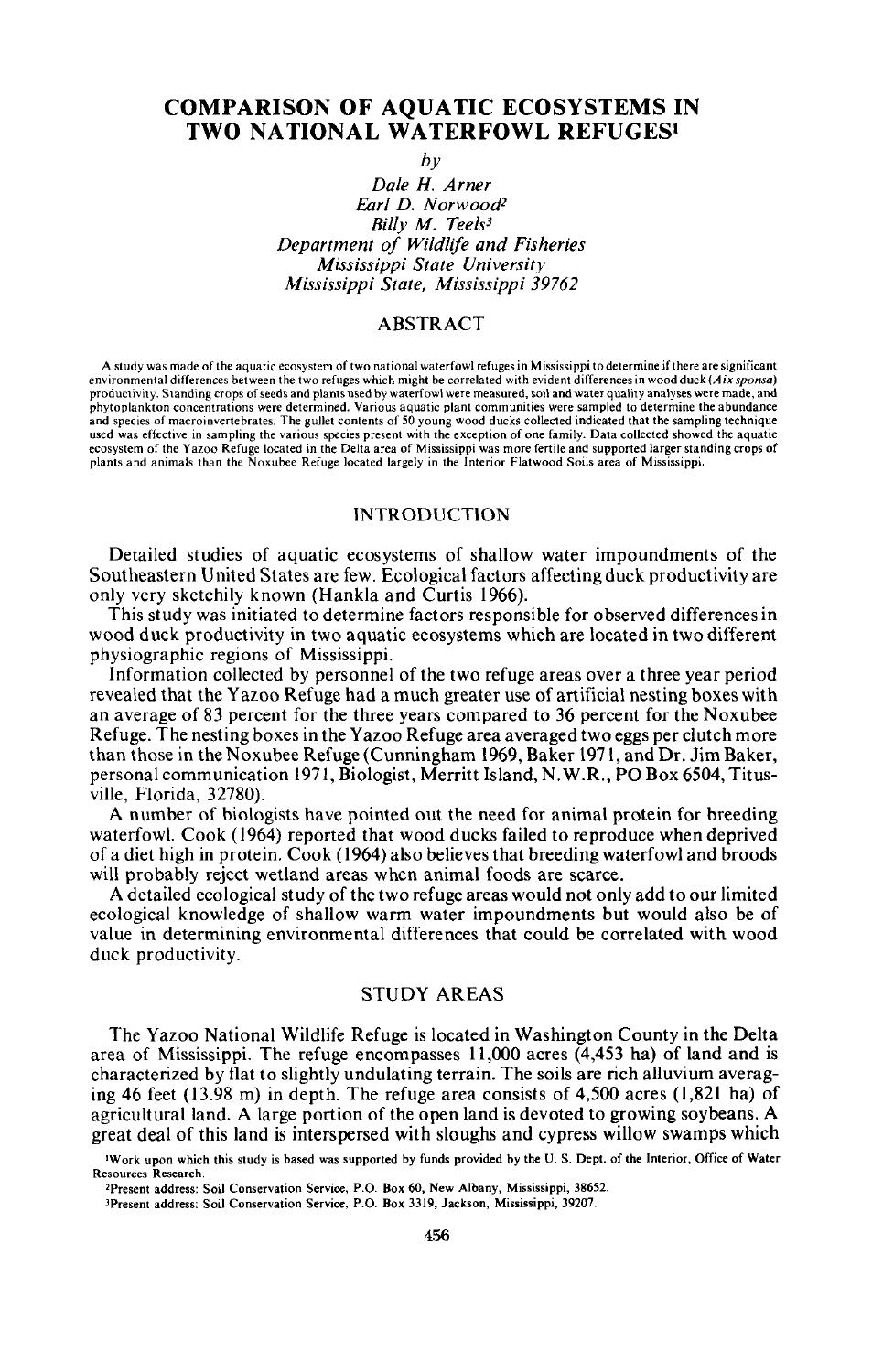# COMPARISON OF AQUATIC ECOSYSTEMS IN TWO NATIONAL WATERFOWL REFUGES·

*by*

*Dale* H. *Arner Earl D. Norwood*<sup>2</sup> *Billy M. Teels3 Department of Wildlife and Fisheries Mississippi State University Mississippi State, Mississippi 39762*

## ABSTRACT

A study was made of the aquatic ecosystem of two national waterfowl refuges in Mississippi todeterrnine ifthere are significant environmental differences between the two refuges which might be correlated with evident differences in wood duck(Aix *sponsa)* productivity. Standing crops ofseeds and plants used by waterfowl were measured. soil and water quality analyses were made, and phytoplankton concentrations were determined. Various aquatic plant communities were sampled to determine the abundance and species of macroinvertebrates. The gullet contents of 50 young wood ducks collected indicated that the sampling technique used was effective in sampling the various species present with the exception of one family, Data collected showed the aquatic ecosystem of the Yazoo Refuge located in the Delta area of Mississippi was more fertile and supported larger standing crops of plants and animals than the Noxubee Refuge located largely in the Interior Flatwood Soils area of Mississippi.

## INTRODUCTION

Detailed studies of aquatic ecosystems of shallow water impoundments of the Southeastern United States are few. Ecological factors affecting duck productivity are only very sketchily known (Hankla and Curtis 1966).

This study was initiated to determine factors responsible for observed differences in wood duck productivity in two aquatic ecosystems which are located in two different physiographic regions of Mississippi.

Information collected by personnel of the two refuge areas over a three year period revealed that the Yazoo Refuge had a much greater use of artificial nesting boxes with an average of 83 percent for the three years compared to 36 percent for the Noxubee Refuge. The nesting boxes in the Yazoo Refuge area averaged two eggs per clutch more than those in the Noxubee Refuge (Cunningham 1969, Baker 1971, and Dr. Jim Baker, personal communication 1971, Biologist, Merritt Island, N.W.R., PO Box 6504, Titusville, Florida, 32780).

A number of biologists have pointed out the need for animal protein for breeding waterfowl. Cook (1964) reported that wood ducks failed to reproduce when deprived of a diet high in protein. Cook (1964) also believes that breeding waterfowl and broods will probably reject wetland areas when animal foods are scarce.

A detailed ecological study of the two refuge areas would not only add to our limited ecological knowledge of shallow warm water impoundments but would also be of value in determining environmental differences that could be correlated with wood duck productivity.

## STUDY AREAS

The Yazoo National Wildlife Refuge is located in Washington County in the Delta area of Mississippi. The refuge encompasses 11,000 acres (4,453 ha) of land and is characterized by flat to slightly undulating terrain. The soils are rich alluvium averaging 46 feet (13.98 m) in depth. The refuge area consists of 4,500 acres (1,821 ha) of agricultural land. A large portion of the open land is devoted to growing soybeans. A great deal of this land is interspersed with sloughs and cypress willow swamps which

<sup>3</sup>Present address: Soil Conservation Service, P.O. Box 3319, Jackson, Mississippi, 39207.

IWork upon which this study is based was supported by funds provided by the U. S. Dept. of the Interior. Office of Water Resources Research.

<sup>2</sup>Present address: Soil Conservation Service. P.O. Box 60, New Albany, Misslssippi, 38652.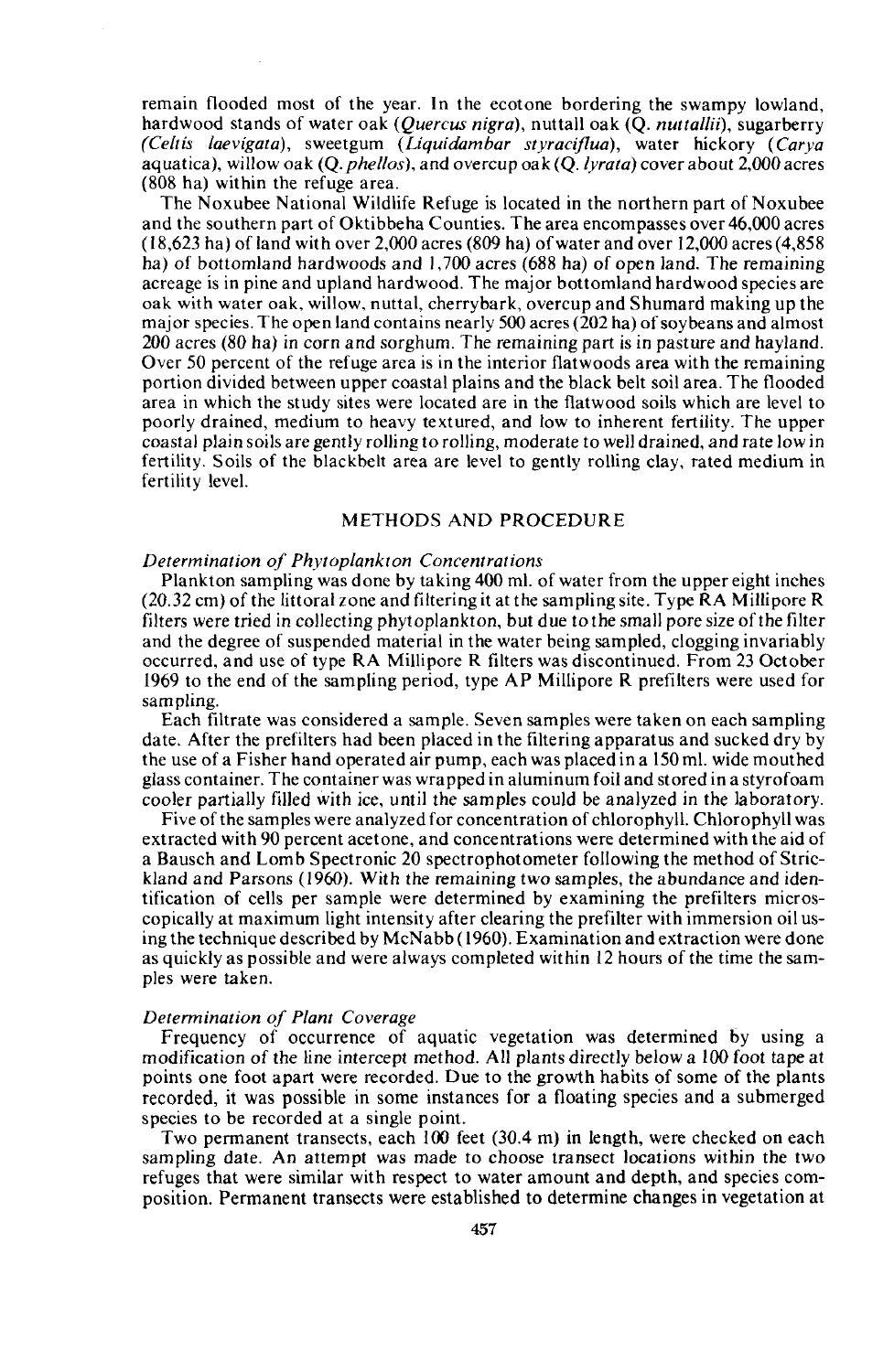remain flooded most of the year. **In** the ecotone bordering the swampy lowland, hardwood stands of water oak *(Quercus nigra),* nuttall oak (Q. *nuttallii),* sugarberry *(Celtis laevigata),* sweetgum *(Liquidambar styraciflua),* water hickory *(Carya* aquatica), willow oak (Q. *pheltos),* and overcup oak *(Q.lyrata)* cover about 2,000 acres (808 ha) within the refuge area.

The Noxubee National Wildlife Refuge is located in the northern part of Noxubee and the southern part of Oktibbeha Counties. The area encompasses over 46,000 acres  $(18,623$  ha) of land with over 2,000 acres  $(809$  ha) of water and over 12,000 acres  $(4,858)$ ha) of bottomland hardwoods and 1,700 acres (688 ha) of open land. The remaining acreage is in pine and upland hardwood. The major bottomland hardwood species are oak with water oak, willow, nuttal, cherrybark, overcup and Shumard making up the major species. The open land contains nearly 500 acres (202 ha) of sovbeans and almost 200 acres (80 ha) in corn and sorghum. The remaining part is in pasture and hayland. Over 50 percent of the refuge area is in the interior flatwoods area with the remaining portion divided between upper coastal plains and the black belt soil area. The flooded area in which the study sites were located are in the flatwood soils which are level to poorly drained, medium to heavy textured, and low to inherent fertility. The upper coastal plain soils are gently rolling to rolling, moderate to well drained, and rate low in fertility. Soils of the blackbelt area are level to gently rolling clay, rated medium in fertility level.

### METHODS AND PROCEDURE

### *Determination of Phytoplankton Concentrations*

Plankton sampling was done by taking 400 ml. of water from the upper eight inches (20.32 cm) of the littoral zone and filtering it at the sampling site. Type RA Millipore R filters were tried in collecting phytoplankton, but due to the small pore size ofthe filter and the degree of suspended material in the water being sampled, clogging invariably occurred, and use of type RA Millipore R filters was discontinued. From 23 October 1969 to the end of the sampling period, type AP Millipore R prefilters were used for sampling.

Each filtrate was considered a sample. Seven samples were taken on each sampling date. After the prefilters had been placed in the filtering apparatus and sucked dry by the use of a Fisher hand operated air pump, each was placed in a 150 ml. wide mouthed glass container. The container was wrapped in aluminum foil and stored in a styrofoam cooler partially filled with ice, until the samples could be analyzed in the laboratory.

Five of the samples were analyzed for concentration of chlorophyll. Chlorophyll was extracted with 90 percent acetone, and concentrations were determined with the aid of a Bausch and Lomb Spectronic 20 spectrophotometer following the method of Strickland and Parsons (1960). With the remaining two samples, the abundance and identification of cells per sample were determined by examining the prefilters microscopically at maximum light intensity after clearing the prefilter with immersion oil using the technique described by McNabb (1960). Examination and extraction were done as quickly as possible and were always completed within 12 hours of the time the samples were taken.

### *Determination of Plant Coverage*

Frequency of occurrence of aquatic vegetation was determined by using a modification of the line intercept method. All plants directly below a 100 foot tape at points one foot apart were recorded. Due to the growth habits of some of the plants recorded, it was possible in some instances for a floating species and a submerged species to be recorded at a single point.

Two permanent transects, each 100 feet (30.4 m) in length, were checked on each sampling date. An attempt was made to choose transect locations within the two refuges that were similar with respect to water amount and depth, and species composition. Permanent transects were established to determine changes in vegetation at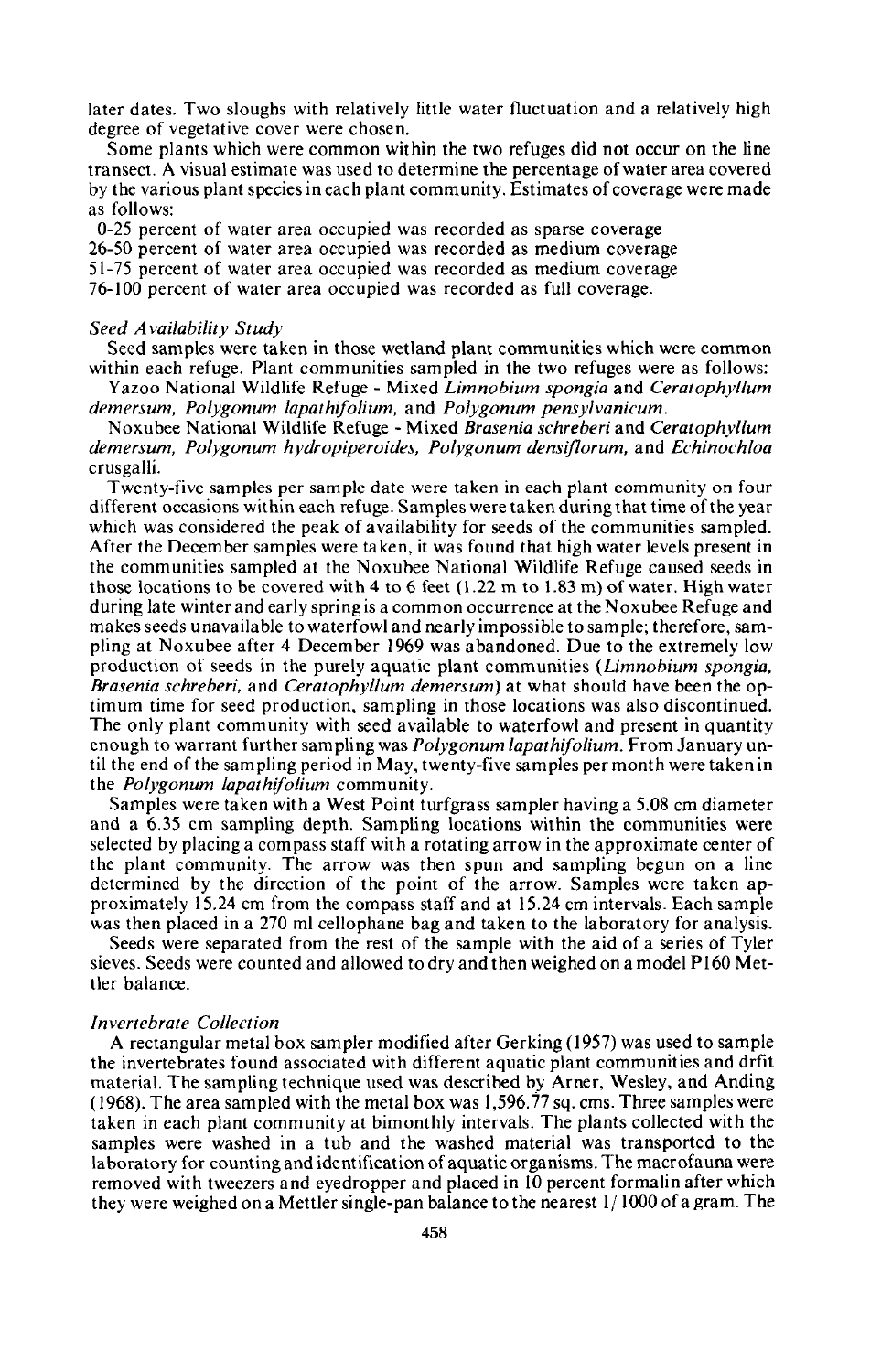later dates. Two sloughs with relatively little water fluctuation and a relatively high degree of vegetative cover were chosen.

Some plants which were common within the two refuges did not occur on the line transect. A visual estimate was used to determine the percentage ofwater area covered by the various plant species in each plant community. Estimates of coverage were made as follows:

0-25 percent of water area occupied was recorded as sparse coverage 26-50 percent of water area occupied was recorded as medium coverage 51-75 percent of water area occupied was recorded as medium coverage 76-100 percent of water area occupied was recorded as full coverage.

#### *Seed A vailability St udy*

Seed samples were taken in those wetland plant communities which were common within each refuge. Plant communities sampled in the two refuges were as follows: Yazoo National Wildlife Refuge - Mixed *Limnobium spongia* and *Ceratophyllum*

*demersum. Polygonum lapathifolium.* and *Polygonum pensylvanicum.*

Noxubee National Wildlife Refuge - Mixed *Brasenia schreberi* and *Ceratophyllum demersum. Polygonum hydropiperoides, Polygonum densiflorum,* and *Echinochloa* crusgalli.

Twenty-five samples per sample date were taken in each plant community on four different occasions within each refuge. Samples were taken during that time ofthe year which was considered the peak of availability for seeds of the communities sampled. After the December samples were taken, it was found that high water levels present in the communities sampled at the Noxubee National Wildlife Refuge caused seeds in those locations to be covered with 4 to 6 feet (1.22 m to 1.83 m) of water. High water during late winter and early spring is a common occurrence at the Noxubee Refuge and makes seeds unavailable to waterfowl and nearly impossible to sample; therefore, sampling at Noxubee after 4 December 1969 was abandoned. Due to the extremely low production of seeds in the purely aquatic plant communities *(Limnobium spongia. Brasenia schreberi.* and *Ceratophyllum demersum)* at what should have been the optimum time for seed production, sampling in those locations was also discontinued. The only plant community with seed available to waterfowl and present in quantity enough to warrant further sampling was *Polygonum lapathifolium.* From January until the end of the sampling period in May, twenty-five samples per month were taken in the *Polygonum lapathifolium* community.

Samples were taken with a West Point turfgrass sampler having a 5.08 cm diameter and a 6.35 cm sampling depth. Sampling locations within the communities were selected by placing a compass staff with a rotating arrow in the approximate center of the plant community. The arrow was then spun and sampling begun on a line determined by the direction of the point of the arrow. Samples were taken approximately 15.24 cm from the compass staff and at 15.24 cm intervals. Each sample was then placed in a 270 ml cellophane bag and taken to the laboratory for analysis.

Seeds were separated from the rest of the sample with the aid of a series of Tyler sieves. Seeds were counted and allowed to dry and then weighed on a model P 160 Mettler balance.

### *Invertebrate Collection*

A rectangular metal box sampler modified after Gerking (1957) was used to sample the invertebrates found associated with different aquatic plant communities and drfit material. The sampling technique used was described by Amer, Wesley, and Anding (1968). The area sampled with the metal box was 1,596.77 sq. cms. Three samples were taken in each plant community at bimonthly intervals. The plants collected with the samples were washed in a tub and the washed material was transported to the laboratory for counting and identification of aquatic organisms. The macrofauna were removed with tweezers and eyedropper and placed in 10 percent formalin after which they were weighed on a Mettler single-pan balance to the nearest 1/ 1000 of a gram. The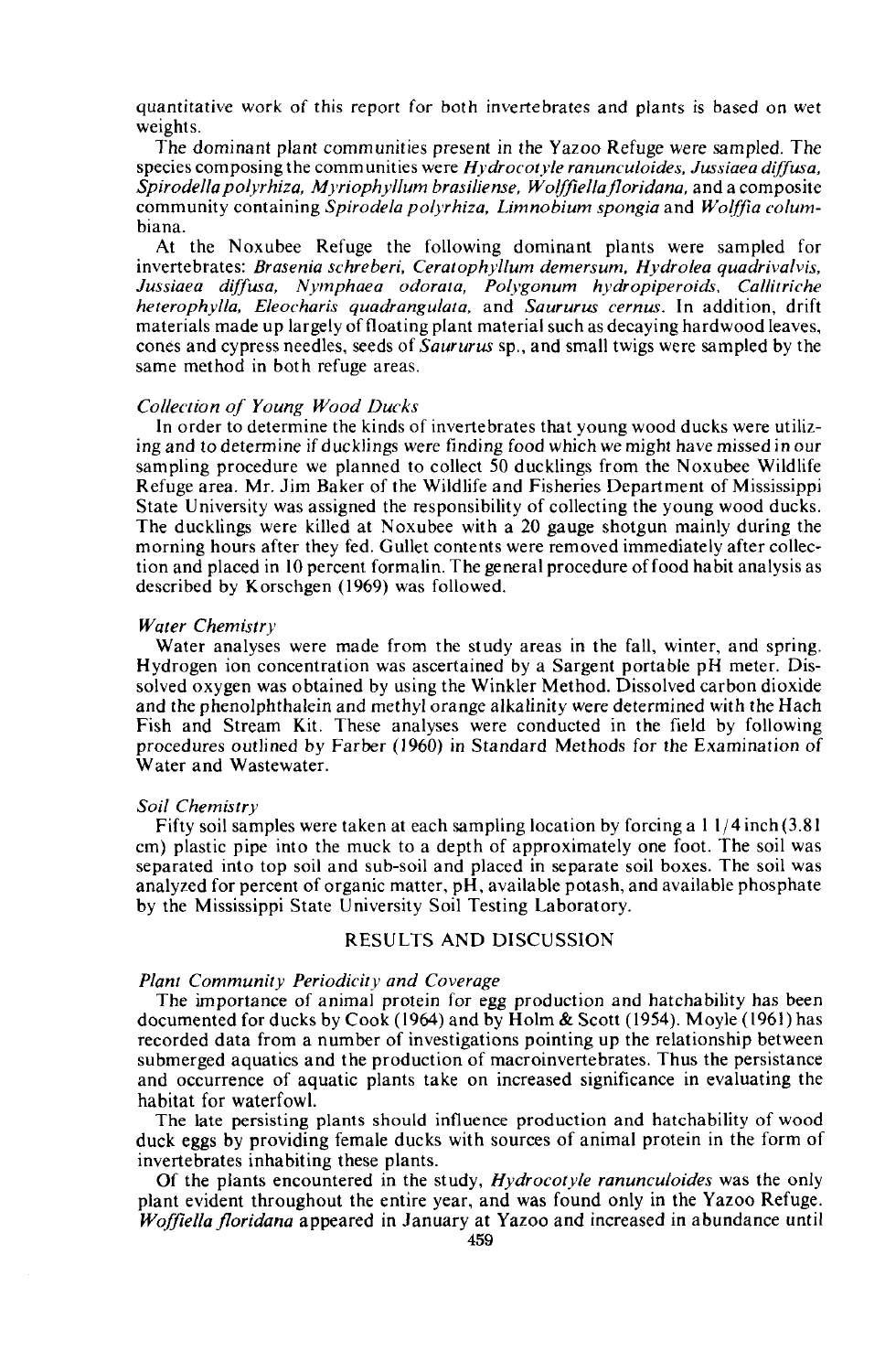quantitative work of this report for both invertebrates and plants is based on wet weights.

The dominant plant communities present in the Yazoo Refuge were sampled. The species composing the communities were *Hydrocotyle ranunculoides. Jussiaea diffusa. Spirodella polyrhiza. Myriophyllum brasiliense. Wolffiellajloridana.* and a composite community containing *Spirodela polyrhiza. Limnobium spongia* and *Wo!lfia colum*biana.

At the Noxubee Refuge the following dominant plants were sampled for invertebrates: *Brasenia schreberi. Ceratophy/lum demersum. Hydrolea quadrivalvis. Jussiaea diffusa. Nymphaea odorata. Polygonum hydropiperoids. Callitriche heterophylla. Eleocharis quadrangulata.* and *Saururus cemus.* In addition, drift materials made up largely offloating plant material such as decaying hardwood leaves, cones and cypress needles, seeds of *Saururus* sp., and small twigs were sampled by the same method in both refuge areas.

### *Collection of Young Wood Ducks*

In order to determine the kinds of invertebrates that young wood ducks were utilizing and to determine if ducklings were finding food which we might have missed in our sampling procedure we planned to collect 50 ducklings from the Noxubee Wildlife Refuge area. Mr. Jim Baker of the Wildlife and Fisheries Department of Mississippi State University was assigned the responsibility of collecting the young wood ducks. The ducklings were killed at Noxubee with a 20 gauge shotgun mainly during the morning hours after they fed. Gullet contents were removed immediately after collection and placed in 10 percent formalin. The general procedure offood habit analysis as described by Korschgen (1969) was followed.

### *Water Chemistry*

Water analyses were made from the study areas in the fall, winter, and spring. Hydrogen ion concentration was ascertained by a Sargent portable pH meter. Dissolved oxygen was obtained by using the Winkler Method. Dissolved carbon dioxide and the phenolphthalein and methyl orange alkalinity were determined with the Hach Fish and Stream Kit. These analyses were conducted in the field by following procedures outlined by Farber (1960) in Standard Methods for the Examination of Water and Wastewater.

### *Soil Chemistry*

Fifty soil samples were taken at each sampling location by forcing a I 1/4 inch (3.8 I cm) plastic pipe into the muck to a depth of approximately one foot. The soil was separated into top soil and sub-soil and placed in separate soil boxes. The soil was analyzed for percent of organic matter, pH, available potash, and available phosphate by the Mississippi State University Soil Testing Laboratory.

## RESULTS AND DISCUSSION

#### *Plant Community Periodicity and Coverage*

The importance of animal protein for egg production and hatchability has been documented for ducks by Cook (1964) and by Holm & Scott (1954). Moyle (1961) has recorded data from a number of investigations pointing up the relationship between submerged aquatics and the production of macroinvertebrates. Thus the persistance and occurrence of aquatic plants take on increased significance in evaluating the habitat for waterfowl.

The late persisting plants should influence production and hatchability of wood duck eggs by providing female ducks with sources of animal protein in the form of invertebrates inhabiting these plants.

Of the plants encountered in the study, *Hydrocotyle ranunculoides* was the only plant evident throughout the entire year, and was found only in the Yazoo Refuge. *Woffiella jloridana* appeared in January at Yazoo and increased in abundance until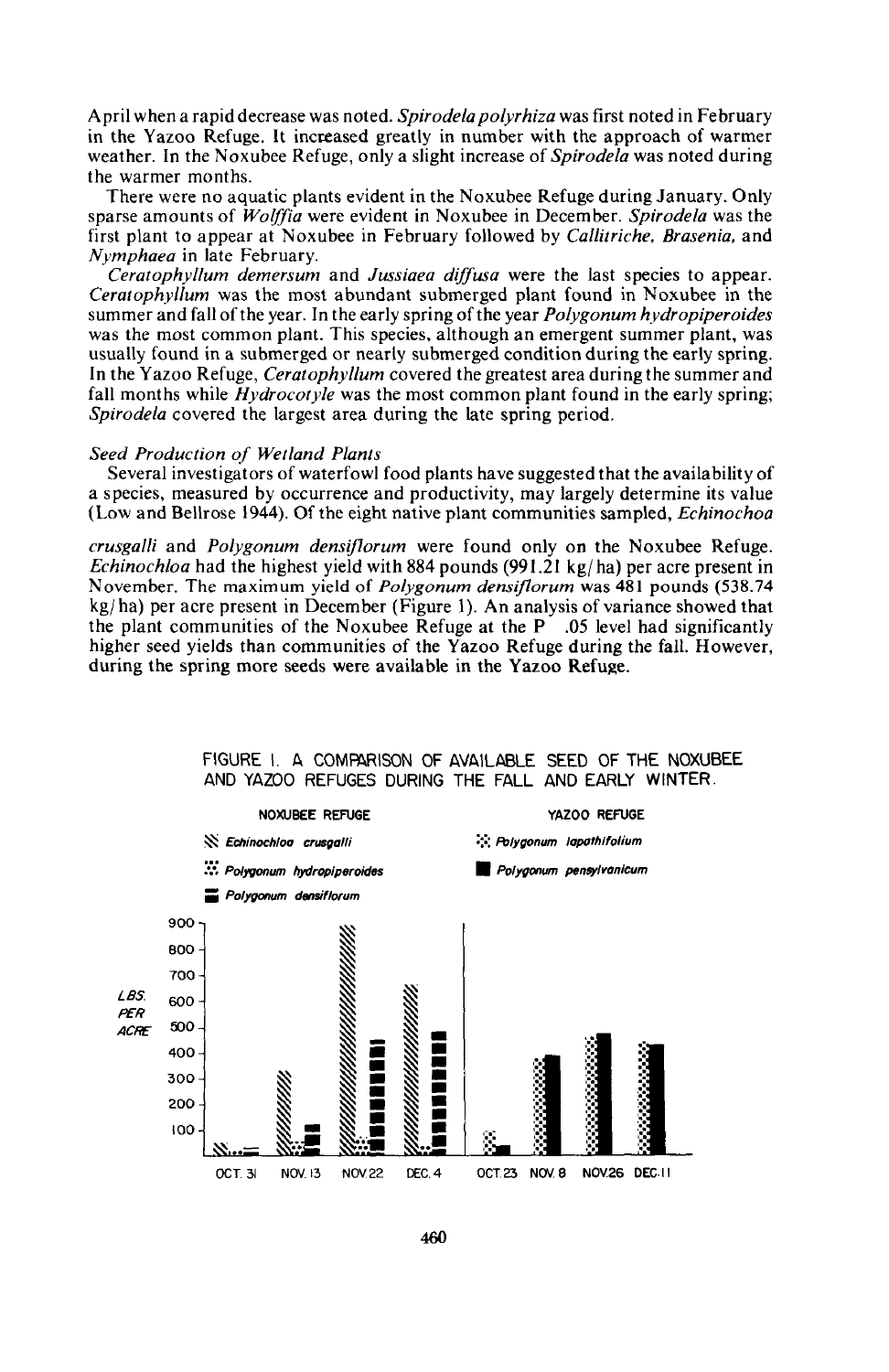April when a rapid decrease was noted. *Spirodela polyrhiza* was first noted in February in the Yazoo Refuge. It increased greatly in number with the approach of warmer weather. In the Noxubee Refuge, only a slight increase of *Spirodela* was noted during the warmer months.

There were no aquatic plants evident in the Noxubee Refuge during January. Only sparse amounts of *Woljfia* were evident in Noxubee in December. *Spirodela* was the first plant to appear at Noxubee in February followed by *Callitriche, Brasenia,* and *Nymphaea* in late February.

*Ceratophyllum demersum* and *Jussiaea dijfusa* were the last species to appear. *Ceratophyllum* was the most abundant submerged plant found in Noxubee in the summer and fall ofthe year. In the early spring ofthe year *Polygonum hydropiperoides* was the most common plant. This species, although an emergent summer plant, was usually found in a submerged or nearly submerged condition during the early spring. In the Yazoo Refuge, *Ceratophyllum* covered the greatest area during the summer and fall months while *Hydrocotyle* was the most common plant found in the early spring; *Spirodela* covered the largest area during the late spring period.

#### *Seed Production of Wetland Plants*

Several investigators of waterfowl food plants have suggested that the availability of a species, measured by occurrence and productivity, may largely determine its value (Low and Bellrose 1944). Of the eight native plant communities sampled, *Echinochoa*

*crusgalli* and *Polygonum densiflorum* were found only on the Noxubee Refuge. *Echinochloa* had the highest yield with 884 pounds (991.21 kg/ha) per acre present in November. The maximum yield of *Polygonum densiflorum* was 481 pounds (538.74  $kg/ha$ ) per acre present in December (Figure 1). An analysis of variance showed that the plant communities of the Noxubee Refuge at the P .05 level had significantly higher seed yields than communities of the Yazoo Refuge during the fall. However, during the spring more seeds were available in the Yazoo Refuge.



FIGURE I. A COMPARISON OF AVAILABLE SEED OF THE NOXUBEE AND YAZOO REFUGES DURING THE FALL AND EARLY WINTER.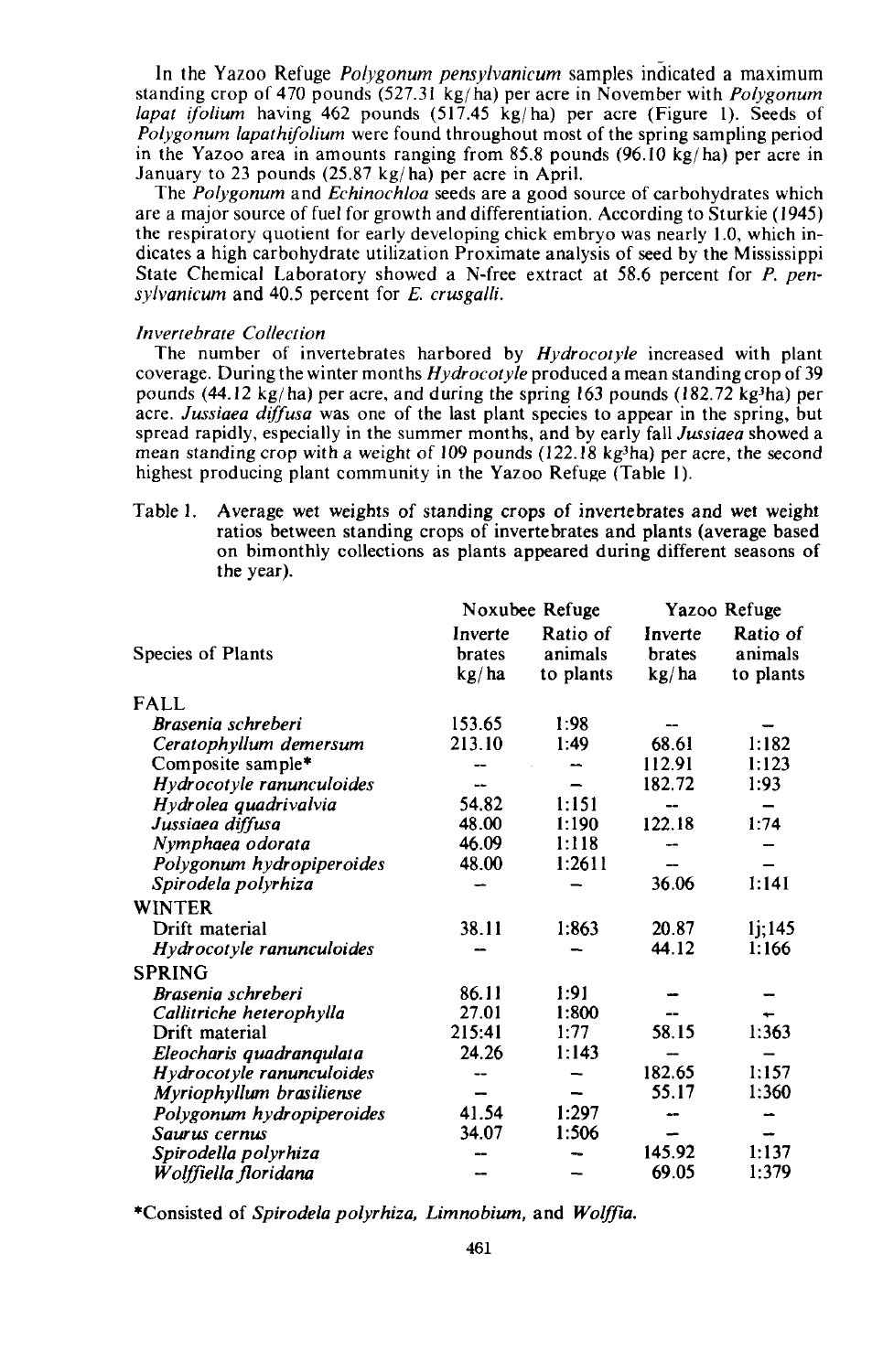In the Yazoo Refuge *Po/ygonum pensy/vanicum* samples indicated a maximum standing crop of 470 pounds (527.31 kg( hal per acre in November with *Polygonum lapat if olium* having 462 pounds (517.45 kg/ha) per acre (Figure 1). Seeds of *Polygonum lapathifolium* were found throughout most of the spring sampling period in the Yazoo area in amounts ranging from 85.8 pounds  $(96.10 \text{ kg/ha})$  per acre in January to 23 pounds  $(25.87 \text{ kg/ha})$  per acre in April.

The *Polygonum* and *Echinochloa* seeds are a good source of carbohydrates which are a major source of fuel for growth and differentiation. According to Sturkie (1945) the respiratory quotient for early developing chick embryo was nearly 1.0, which indicates a high carbohydrate utilization Proximate analysis of seed by the Mississippi State Chemical Laboratory showed a N-free extract at 58.6 percent for *P. pensylvanicum* and 40.5 percent for *E. erusgalli.*

### *Invertebrate Collection*

The number of invertebrates harbored by *Hydrocotyle* increased with plant coverage. During the winter months *Hydrocotyle* produced a mean standing crop of 39 pounds (44.12 kg/ha) per acre, and during the spring 163 pounds (182.72 kg<sup>3</sup>ha) per acre. *Jussiaea diffusa* was one of the last plant species to appear in the spring, but spread rapidly, especially in the summer months, and by early fall *Jussiaea* showed a mean standing crop with a weight of 109 pounds (122.18  $kg<sup>3</sup>$ ha) per acre, the second highest producing plant community in the Yazoo Refuge (Table I).

Table 1. Average wet weights of standing crops of invertebrates and wet weight ratios between standing crops of invertebrates and plants (average based on bimonthly collections as plants appeared during different seasons of the year).

|                           | Noxubee Refuge             |                                  | Yazoo Refuge               |                                  |
|---------------------------|----------------------------|----------------------------------|----------------------------|----------------------------------|
| Species of Plants         | Inverte<br>brates<br>kg/ha | Ratio of<br>animals<br>to plants | Inverte<br>brates<br>kg/ha | Ratio of<br>animals<br>to plants |
| <b>FALL</b>               |                            |                                  |                            |                                  |
| Brasenia schreberi        | 153.65                     | 1:98                             |                            |                                  |
| Ceratophyllum demersum    | 213.10                     | 1:49                             | 68.61                      | 1:182                            |
| Composite sample*         |                            |                                  | 112.91                     | 1:123                            |
| Hydrocotyle ranunculoides |                            |                                  | 182.72                     | 1:93                             |
| Hydrolea quadrivalvia     | 54.82                      | 1:151                            | --                         |                                  |
| Jussiaea diffusa          | 48.00                      | 1:190                            | 122.18                     | 1:74                             |
| Nymphaea odorata          | 46.09                      | 1:118                            |                            |                                  |
| Polygonum hydropiperoides | 48.00                      | 1:2611                           |                            |                                  |
| Spirodela polyrhiza       |                            |                                  | 36.06                      | 1:141                            |
| <b>WINTER</b>             |                            |                                  |                            |                                  |
| Drift material            | 38.11                      | 1:863                            | 20.87                      | 1j;145                           |
| Hydrocotyle ranunculoides |                            |                                  | 44.12                      | 1:166                            |
| <b>SPRING</b>             |                            |                                  |                            |                                  |
| Brasenia schreberi        | 86.11                      | 1:91                             |                            |                                  |
| Callitriche heterophylla  | 27.01                      | 1:800                            |                            |                                  |
| Drift material            | 215:41                     | 1:77                             | 58.15                      | 1:363                            |
| Eleocharis quadranqulata  | 24.26                      | 1:143                            |                            |                                  |
| Hydrocotyle ranunculoides |                            |                                  | 182.65                     | 1:157                            |
| Myriophyllum brasiliense  |                            |                                  | 55.17                      | 1:360                            |
| Polygonum hydropiperoides | 41.54                      | 1:297                            | --                         |                                  |
| Saurus cernus             | 34.07                      | 1:506                            |                            |                                  |
| Spirodella polyrhiza      |                            |                                  | 145.92                     | 1:137                            |
| Wolffiella floridana      |                            |                                  | 69.05                      | 1:379                            |

\*Consisted of *Spirodela polyrhiza, Limnobium,* and *Wolffia.*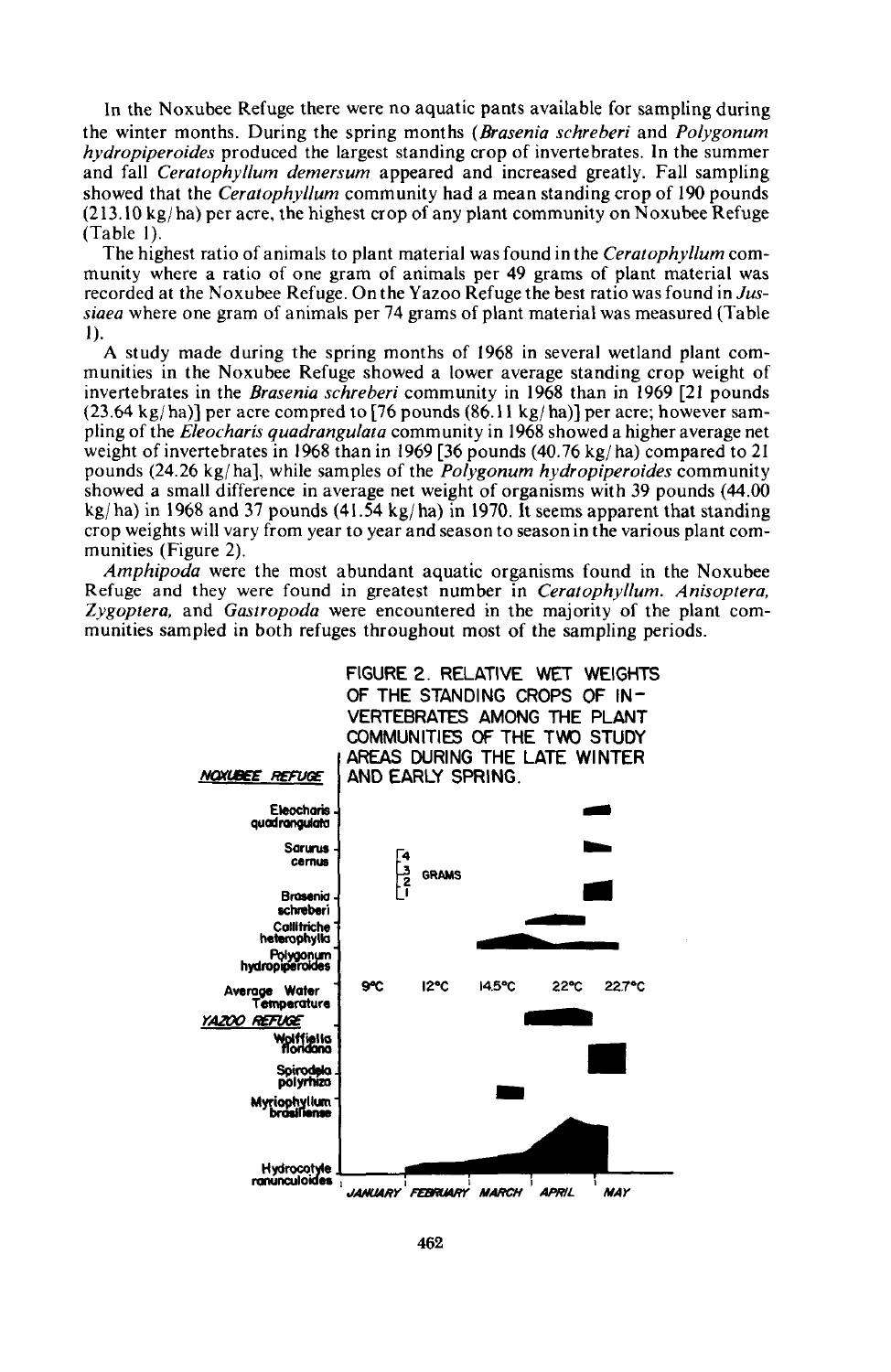In the Noxubee Refuge there were no aquatic pants available for sampling during the winter months. During the spring months *(Brasenia schreberi* and *Polygonum hydropiperoides* produced the largest standing crop of invertebrates. In the summer and fall *Ceratophyl/um demersum* appeared and increased greatly. Fall sampling showed that the *Ceratophyllum* community had a mean standing crop of 190 pounds  $(213.10 \text{ kg/ha})$  per acre, the highest crop of any plant community on Noxubee Refuge (Table 1).

The highest ratio of animals to plant material was found in the *Ceratophyllum* community where a ratio of one gram of animals per 49 grams of plant material was recorded at the Noxubee Refuge. On the Yazoo Refuge the best ratio was found in *Jussiaea* where one gram of animals per 74 grams of plant material was measured (Table 1).

A study made during the spring months of 1968 in several wetland plant communities in the Noxubee Refuge showed a lower average standing crop weight of invertebrates in the *Brasenia schreberi* community in 1968 than in 1969 [21 pounds (23.64 kg/ha)] per acre compred to [76 pounds  $(86.11 \text{ kg/ha})$ ] per acre; however sampling of the *Eleocharis quadrangulata* community in 1968 showed a higher average net weight of invertebrates in 1968 than in 1969 [36 pounds (40.76 kg/ha) compared to 21 pounds (24.26 kgjha], while samples of the *Polygonum hydropiperoides* community showed a small difference in average net weight of organisms with 39 pounds (44.00  $kg/ha$ ) in 1968 and 37 pounds (41.54 kg/ha) in 1970. It seems apparent that standing crop weights will vary from year to year and season to season in the various plant communities (Figure 2).

*Amphipoda* were the most abundant aquatic organisms found in the Noxubee Refuge and they were found in greatest number in *Ceratophyl/um. Anisoptera, Zygoptera,* and *Gastropoda* were encountered in the majority of the plant communities sampled in both refuges throughout most of the sampling periods.

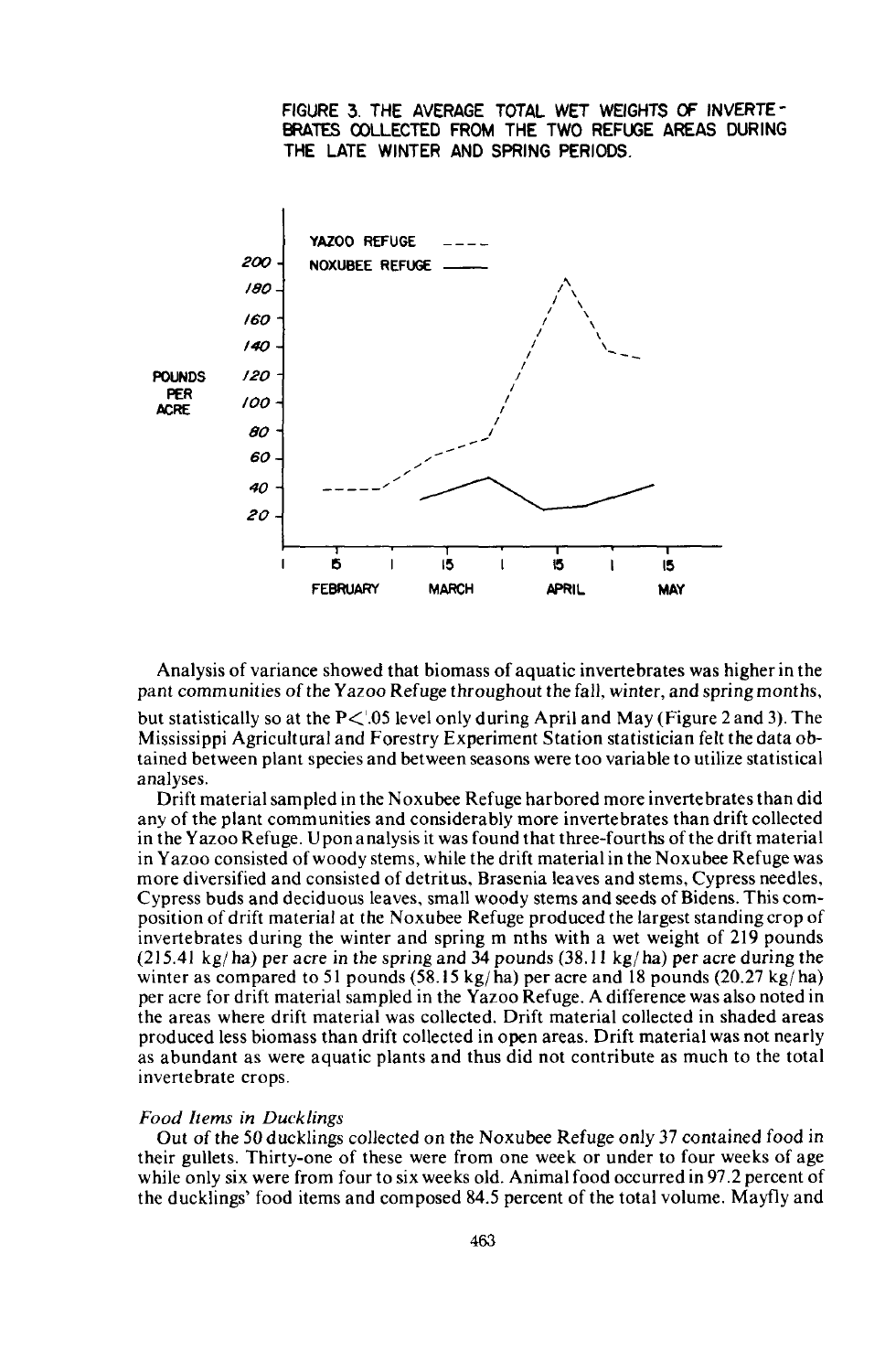FIGURE 3. THE AVERAGE TOTAL WET WEIGHTS OF INVERTE-BRATES OOLLECTED FROM THE TWO REFUGE AREAS DURING THE LATE WINTER AND SPRING PERIODS.



Analysis of variance showed that biomass of aquatic invertebrates was higher in the pant communities of the Yazoo Refuge throughout the fall, winter, and spring months, but statistically so at the  $P\leq 0.05$  level only during April and May (Figure 2 and 3). The Mississippi Agricultural and Forestry Experiment Station statistician felt the data obtained between plant species and between seasons were too variable to utilize statistical analyses.

Drift material sampled in the Noxubee Refuge harbored more invertebrates than did any of the plant communities and considerably more invertebrates than drift collected in the Yazoo Refuge. Uponanalysis it was found that three-fourths ofthe drift material in Yazoo consisted of woody stems, while the drift material in the Noxubee Refuge was more diversified and consisted of detritus, Brasenia leaves and stems, Cypress needles, Cypress buds and deciduous leaves, small woody stems and seeds of Bidens. This composition of drift material at the Noxubee Refuge produced the largest standing crop of invertebrates during the winter and spring m nths with a wet weight of 219 pounds (215.41 kg/ha) per acre in the spring and 34 pounds (38.11 kg/ha) per acre during the winter as compared to 51 pounds  $(58.15 \text{ kg/ha})$  per acre and 18 pounds  $(20.27 \text{ kg/ha})$ per acre for drift material sampled in the Yazoo Refuge. A difference was also noted in the areas where drift material was collected. Drift material collected in shaded areas produced less biomass than drift collected in open areas. Drift material was not nearly as abundant as were aquatic plants and thus did not contribute as much to the total invertebrate crops.

## *Food Items in Ducklings*

Out of the 50 ducklings collected on the Noxubee Refuge only 37 contained food in their gullets. Thirty-one of these were from one week or under to four weeks of age while only six were from four to six weeks old. Animal food occurred in 97.2 percent of the ducklings' food items and composed 84.5 percent of the total volume. Mayfly and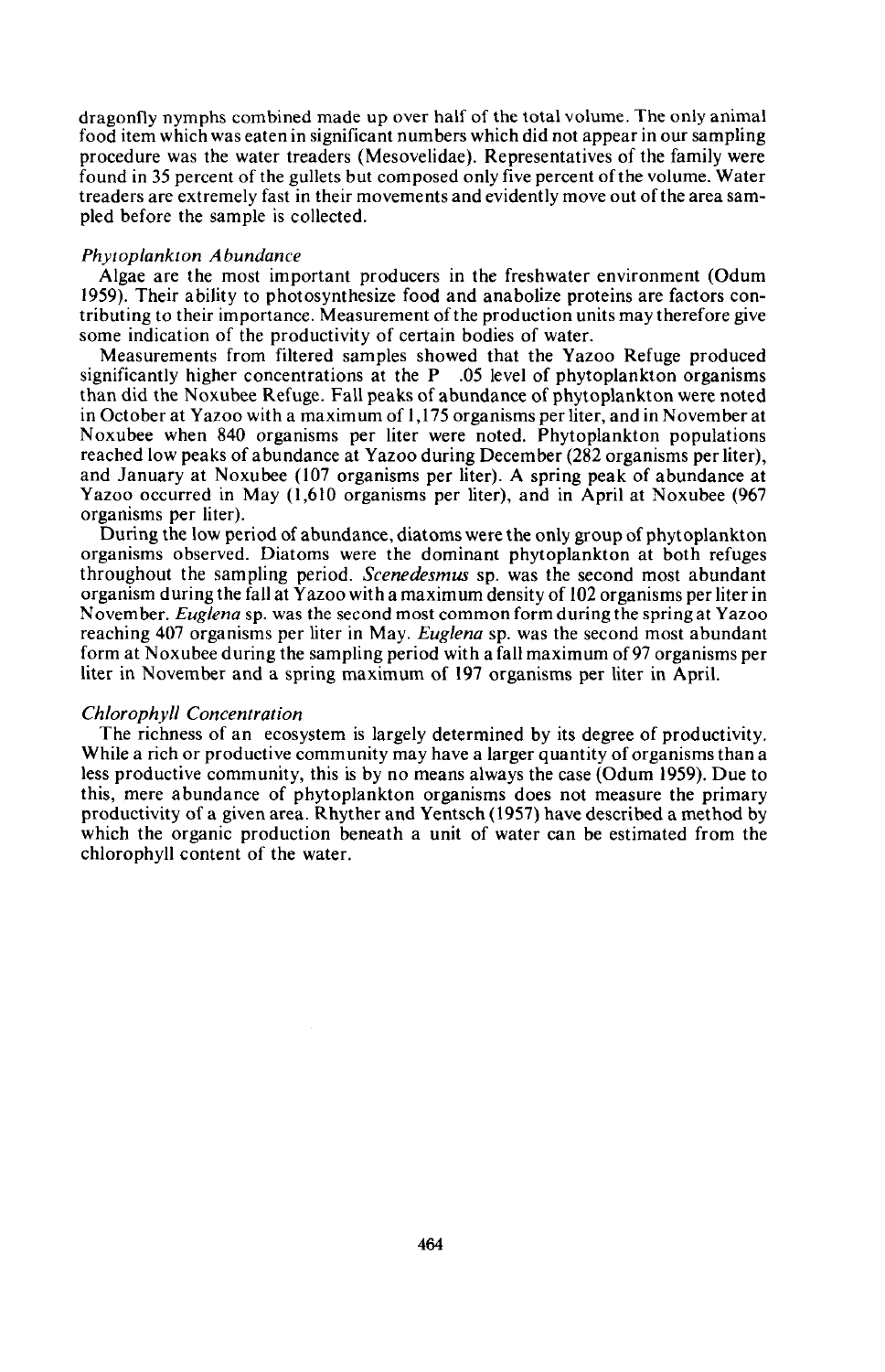dragonfly nymphs combined made up over half of the total volume. The only animal food item which was eaten in significant numbers which did not appear in our sampling procedure was the water treaders (Mesovelidae). Representatives of the family were found in 35 percent of the gullets but composed only five percent ofthe volume. Water treaders are extremely fast in their movements and evidently move out ofthe area sampled before the sample is collected.

## *Phytoplankton Abundance*

Algae are the most important producers in the freshwater environment (Odum 1959). Their ability to photosynthesize food and anabolize proteins are factors contributing to their importance. Measurement ofthe production units may therefore give some indication of the productivity of certain bodies of water.

Measurements from filtered samples showed that the Yazoo Refuge produced significantly higher concentrations at the  $P$  .05 level of phytoplankton organisms than did the Noxubee Refuge. Fall peaks of abundance of phytoplankton were noted in October at Yazoo with a maximum of 1,175 organisms per liter, and in November at Noxubee when 840 organisms per liter were noted. Phytoplankton populations reached low peaks of abundance at Yazoo during December (282 organisms per liter), and January at Noxuhee (107 organisms per liter). A spring peak of abundance at Yazoo occurred in May (1,610 organisms per liter), and in April at Noxubee (967 organisms per liter).

During the low period of abundance, diatoms were the only group of phytoplankton organisms observed. Diatoms were the dominant phytoplankton at both refuges throughout the sampling period. *Scenedesmus* sp. was the second most abundant organism during the fall at Yazoo with a maximum density of 102 organisms per liter in November. *Euglena* sp. was the second most common form during the spring at Yazoo reaching 407 organisms per liter in May. *Euglena* sp. was the second most abundant form at Noxubee during the sampling period with a fall maximum of97 organisms per liter in November and a spring maximum of 197 organisms per liter in April.

### *Chlorophyll Concentration*

The richness of an ecosystem is largely determined by its degree of productivity. While a rich or productive community may have a larger quantity of organisms than a less productive community, this is by no means always the case (Odum 1959). Due to this, mere abundance of phytoplankton organisms does not measure the primary productivity of a given area. Rhyther and Yentsch (1957) have described a method by which the organic production beneath a unit of water can be estimated from the chlorophyll content of the water.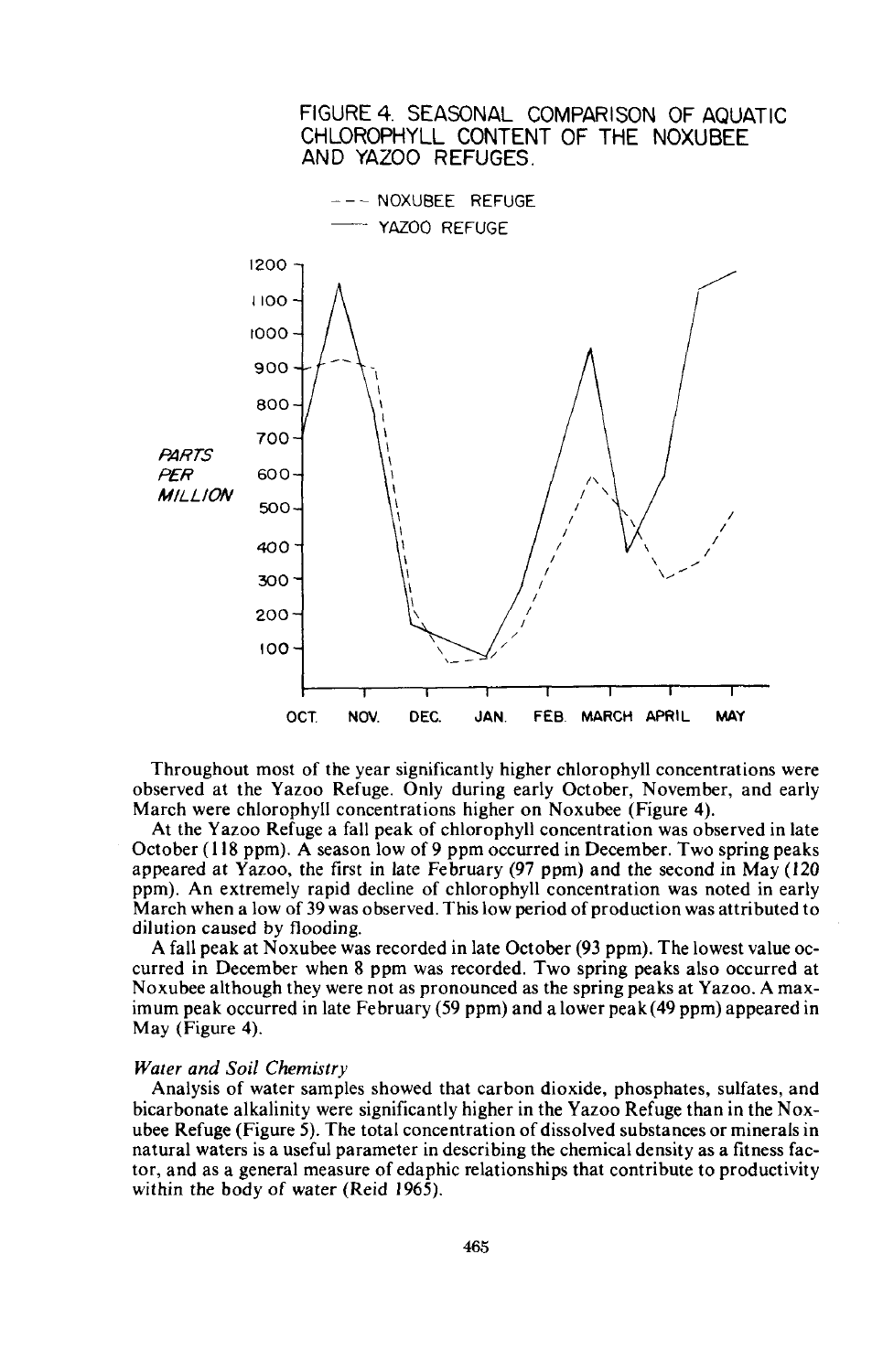

Throughout most of the year significantly higher chlorophyll concentrations were observed at the Yazoo Refuge. Only during early October, November, and early March were chlorophyll concentrations higher on Noxubee (Figure 4).

At the Yazoo Refuge a fall peak of chlorophyll concentration was observed in late October (118 ppm). A season low of 9 ppm occurred in December. Two spring peaks appeared at Yazoo, the first in late February (97 ppm) and the second in May (120 ppm). An extremely rapid decline of chlorophyll concentration was noted in early March when a low of 39 was observed. This low period of production was attributed to dilution caused by flooding.

A fall peak at Noxubee was recorded in late October (93 ppm). The lowest value occurred in December when 8 ppm was recorded. Two spring peaks also occurred at Noxubee although they were not as pronounced as the spring peaks at Yazoo. A maximum peak occurred in late February (59 ppm) and a lower peak (49 ppm) appeared in May (Figure 4).

### *Water and Soil Chemistry*

Analysis of water samples showed that carbon dioxide, phosphates, sulfates, and bicarbonate alkalinity were significantly higher in the Yazoo Refuge than in the Noxubee Refuge (Figure 5). The total concentration of dissolved substances or minerals in natural waters is a useful parameter in describing the chemical density as a fitness factor, and as a general measure of edaphic relationships that contribute to productivity within the body of water (Reid 1965).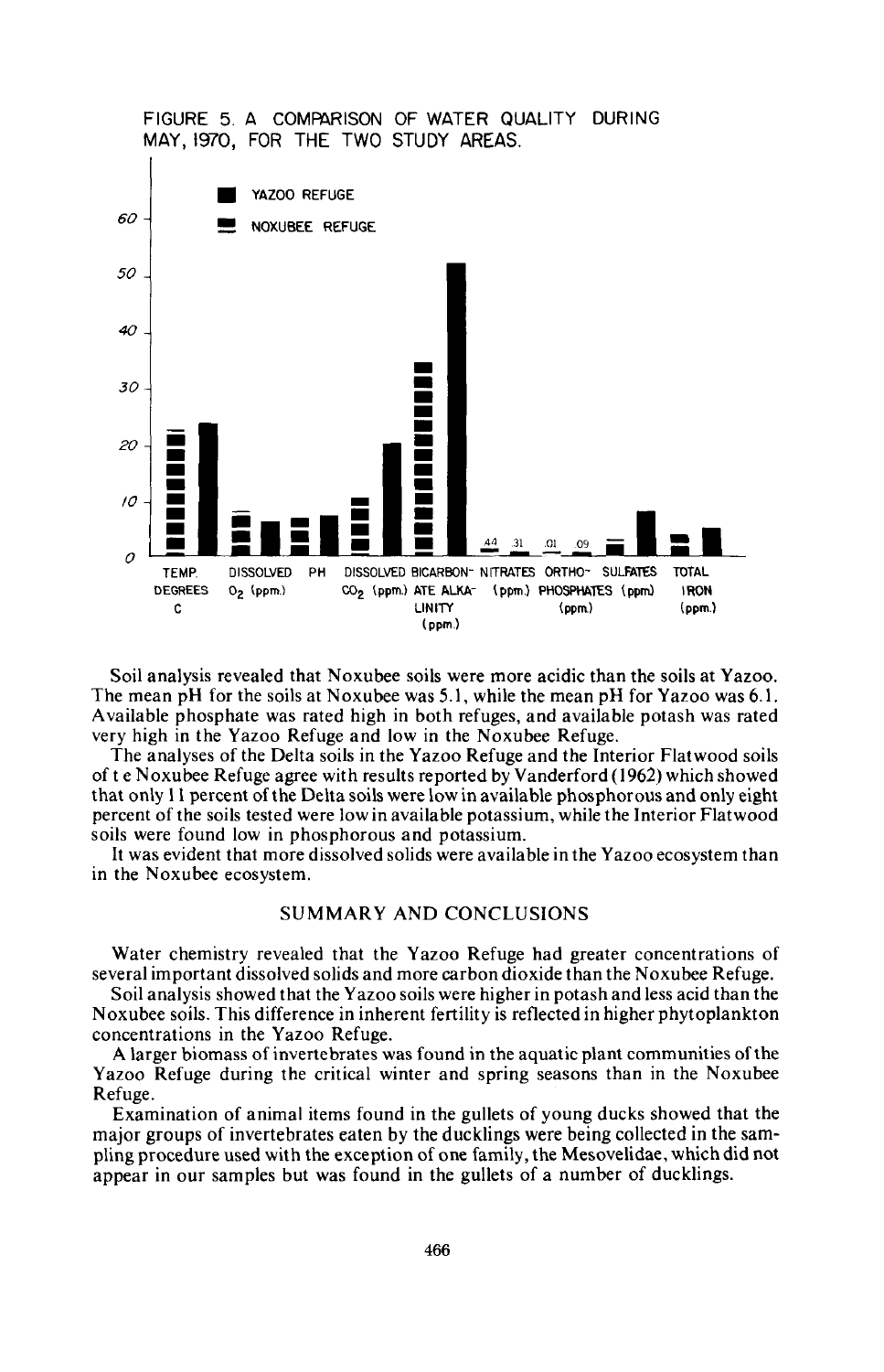

Soil analysis revealed that Noxubee soils were more acidic than the soils at Yazoo. The mean pH for the soils at Noxubee was 5.1, while the mean pH for Yazoo was 6.1. Available phosphate was rated high in both refuges, and available potash was rated very high in the Yazoo Refuge and low in the Noxubee Refuge.

The analyses of the Delta soils in the Yazoo Refuge and the Interior Flatwood soils of t e Noxubee Refuge agree with results reported by Vanderford (1962) which showed that only II percent ofthe Delta soils were low in available phosphorous and only eight percent of the soils tested were low in available potassium, while the Interior Flatwood soils were found low in phosphorous and potassium.

It was evident that more dissolved solids were available in the Yazoo ecosystem than in the Noxubee ecosystem.

## SUMMARY AND CONCLUSIONS

Water chemistry revealed that the Yazoo Refuge had greater concentrations of several important dissolved solids and more carbon dioxide than the Noxubee Refuge.

Soil analysis showed that the Yazoo soils were higher in potash and less acid than the Noxubee soils. This difference in inherent fertility is reflected in higher phytoplankton concentrations in the Yazoo Refuge.

A larger biomass of invertebrates was found in the aquatic plant communities ofthe Yazoo Refuge during the critical winter and spring seasons than in the Noxubee Refuge.

Examination of animal items found in the gullets of young ducks showed that the major groups of invertebrates eaten by the ducklings were being collected in the sampling procedure used with the exception of one family, the Mesovelidae, which did not appear in our samples but was found in the gullets of a number of ducklings.